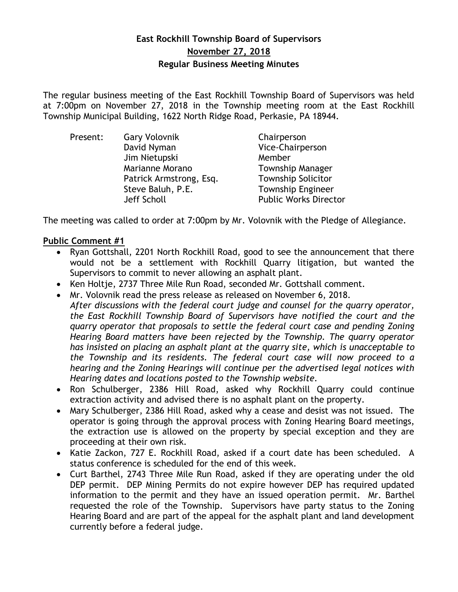# **East Rockhill Township Board of Supervisors November 27, 2018 Regular Business Meeting Minutes**

The regular business meeting of the East Rockhill Township Board of Supervisors was held at 7:00pm on November 27, 2018 in the Township meeting room at the East Rockhill Township Municipal Building, 1622 North Ridge Road, Perkasie, PA 18944.

| Present: | <b>Gary Volovnik</b>    | Chairperson                  |
|----------|-------------------------|------------------------------|
|          | David Nyman             | Vice-Chairperson             |
|          | Jim Nietupski           | Member                       |
|          | Marianne Morano         | <b>Township Manager</b>      |
|          | Patrick Armstrong, Esq. | <b>Township Solicitor</b>    |
|          | Steve Baluh, P.E.       | <b>Township Engineer</b>     |
|          | Jeff Scholl             | <b>Public Works Director</b> |

The meeting was called to order at 7:00pm by Mr. Volovnik with the Pledge of Allegiance.

# **Public Comment #1**

- Ryan Gottshall, 2201 North Rockhill Road, good to see the announcement that there would not be a settlement with Rockhill Quarry litigation, but wanted the Supervisors to commit to never allowing an asphalt plant.
- Ken Holtje, 2737 Three Mile Run Road, seconded Mr. Gottshall comment.
- Mr. Volovnik read the press release as released on November 6, 2018. *After discussions with the federal court judge and counsel for the quarry operator, the East Rockhill Township Board of Supervisors have notified the court and the quarry operator that proposals to settle the federal court case and pending Zoning Hearing Board matters have been rejected by the Township. The quarry operator has insisted on placing an asphalt plant at the quarry site, which is unacceptable to the Township and its residents. The federal court case will now proceed to a hearing and the Zoning Hearings will continue per the advertised legal notices with Hearing dates and locations posted to the Township website.*
- Ron Schulberger, 2386 Hill Road, asked why Rockhill Quarry could continue extraction activity and advised there is no asphalt plant on the property.
- Mary Schulberger, 2386 Hill Road, asked why a cease and desist was not issued. The operator is going through the approval process with Zoning Hearing Board meetings, the extraction use is allowed on the property by special exception and they are proceeding at their own risk.
- Katie Zackon, 727 E. Rockhill Road, asked if a court date has been scheduled. A status conference is scheduled for the end of this week.
- Curt Barthel, 2743 Three Mile Run Road, asked if they are operating under the old DEP permit. DEP Mining Permits do not expire however DEP has required updated information to the permit and they have an issued operation permit. Mr. Barthel requested the role of the Township. Supervisors have party status to the Zoning Hearing Board and are part of the appeal for the asphalt plant and land development currently before a federal judge.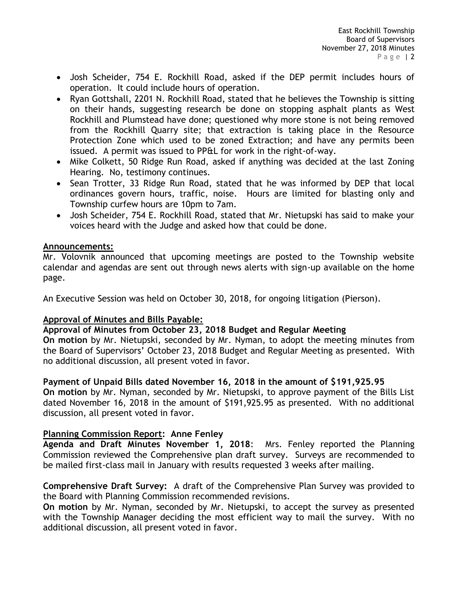- Josh Scheider, 754 E. Rockhill Road, asked if the DEP permit includes hours of operation. It could include hours of operation.
- Ryan Gottshall, 2201 N. Rockhill Road, stated that he believes the Township is sitting on their hands, suggesting research be done on stopping asphalt plants as West Rockhill and Plumstead have done; questioned why more stone is not being removed from the Rockhill Quarry site; that extraction is taking place in the Resource Protection Zone which used to be zoned Extraction; and have any permits been issued. A permit was issued to PP&L for work in the right-of-way.
- Mike Colkett, 50 Ridge Run Road, asked if anything was decided at the last Zoning Hearing. No, testimony continues.
- Sean Trotter, 33 Ridge Run Road, stated that he was informed by DEP that local ordinances govern hours, traffic, noise. Hours are limited for blasting only and Township curfew hours are 10pm to 7am.
- Josh Scheider, 754 E. Rockhill Road, stated that Mr. Nietupski has said to make your voices heard with the Judge and asked how that could be done.

# **Announcements:**

Mr. Volovnik announced that upcoming meetings are posted to the Township website calendar and agendas are sent out through news alerts with sign-up available on the home page.

An Executive Session was held on October 30, 2018, for ongoing litigation (Pierson).

# **Approval of Minutes and Bills Payable:**

# **Approval of Minutes from October 23, 2018 Budget and Regular Meeting**

**On motion** by Mr. Nietupski, seconded by Mr. Nyman, to adopt the meeting minutes from the Board of Supervisors' October 23, 2018 Budget and Regular Meeting as presented. With no additional discussion, all present voted in favor.

# **Payment of Unpaid Bills dated November 16, 2018 in the amount of \$191,925.95**

**On motion** by Mr. Nyman, seconded by Mr. Nietupski, to approve payment of the Bills List dated November 16, 2018 in the amount of \$191,925.95 as presented. With no additional discussion, all present voted in favor.

# **Planning Commission Report: Anne Fenley**

**Agenda and Draft Minutes November 1, 2018**: Mrs. Fenley reported the Planning Commission reviewed the Comprehensive plan draft survey. Surveys are recommended to be mailed first-class mail in January with results requested 3 weeks after mailing.

**Comprehensive Draft Survey:** A draft of the Comprehensive Plan Survey was provided to the Board with Planning Commission recommended revisions.

**On motion** by Mr. Nyman, seconded by Mr. Nietupski, to accept the survey as presented with the Township Manager deciding the most efficient way to mail the survey. With no additional discussion, all present voted in favor.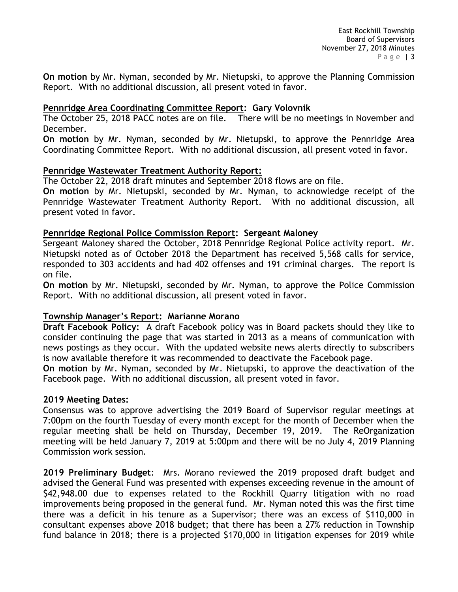**On motion** by Mr. Nyman, seconded by Mr. Nietupski, to approve the Planning Commission Report. With no additional discussion, all present voted in favor.

# **Pennridge Area Coordinating Committee Report: Gary Volovnik**

The October 25, 2018 PACC notes are on file. There will be no meetings in November and December.

**On motion** by Mr. Nyman, seconded by Mr. Nietupski, to approve the Pennridge Area Coordinating Committee Report. With no additional discussion, all present voted in favor.

# **Pennridge Wastewater Treatment Authority Report:**

The October 22, 2018 draft minutes and September 2018 flows are on file.

**On motion** by Mr. Nietupski, seconded by Mr. Nyman, to acknowledge receipt of the Pennridge Wastewater Treatment Authority Report. With no additional discussion, all present voted in favor.

### **Pennridge Regional Police Commission Report: Sergeant Maloney**

Sergeant Maloney shared the October, 2018 Pennridge Regional Police activity report. Mr. Nietupski noted as of October 2018 the Department has received 5,568 calls for service, responded to 303 accidents and had 402 offenses and 191 criminal charges. The report is on file.

**On motion** by Mr. Nietupski, seconded by Mr. Nyman, to approve the Police Commission Report. With no additional discussion, all present voted in favor.

# **Township Manager's Report: Marianne Morano**

**Draft Facebook Policy:** A draft Facebook policy was in Board packets should they like to consider continuing the page that was started in 2013 as a means of communication with news postings as they occur. With the updated website news alerts directly to subscribers is now available therefore it was recommended to deactivate the Facebook page.

**On motion** by Mr. Nyman, seconded by Mr. Nietupski, to approve the deactivation of the Facebook page. With no additional discussion, all present voted in favor.

#### **2019 Meeting Dates:**

Consensus was to approve advertising the 2019 Board of Supervisor regular meetings at 7:00pm on the fourth Tuesday of every month except for the month of December when the regular meeting shall be held on Thursday, December 19, 2019. The ReOrganization meeting will be held January 7, 2019 at 5:00pm and there will be no July 4, 2019 Planning Commission work session.

**2019 Preliminary Budget**: Mrs. Morano reviewed the 2019 proposed draft budget and advised the General Fund was presented with expenses exceeding revenue in the amount of \$42,948.00 due to expenses related to the Rockhill Quarry litigation with no road improvements being proposed in the general fund. Mr. Nyman noted this was the first time there was a deficit in his tenure as a Supervisor; there was an excess of \$110,000 in consultant expenses above 2018 budget; that there has been a 27% reduction in Township fund balance in 2018; there is a projected \$170,000 in litigation expenses for 2019 while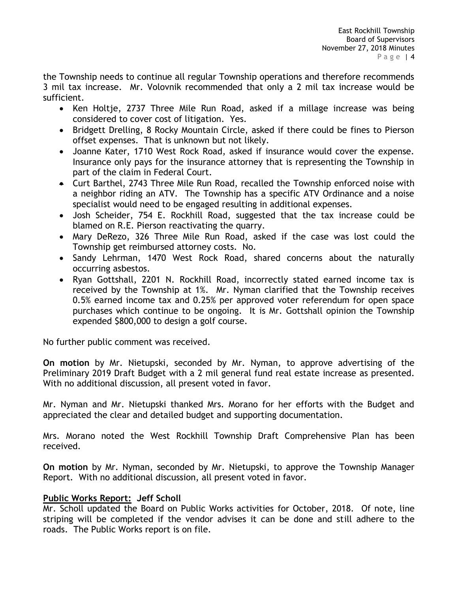the Township needs to continue all regular Township operations and therefore recommends 3 mil tax increase. Mr. Volovnik recommended that only a 2 mil tax increase would be sufficient.

- Ken Holtje, 2737 Three Mile Run Road, asked if a millage increase was being considered to cover cost of litigation. Yes.
- Bridgett Drelling, 8 Rocky Mountain Circle, asked if there could be fines to Pierson offset expenses. That is unknown but not likely.
- Joanne Kater, 1710 West Rock Road, asked if insurance would cover the expense. Insurance only pays for the insurance attorney that is representing the Township in part of the claim in Federal Court.
- Curt Barthel, 2743 Three Mile Run Road, recalled the Township enforced noise with a neighbor riding an ATV. The Township has a specific ATV Ordinance and a noise specialist would need to be engaged resulting in additional expenses.
- Josh Scheider, 754 E. Rockhill Road, suggested that the tax increase could be blamed on R.E. Pierson reactivating the quarry.
- Mary DeRezo, 326 Three Mile Run Road, asked if the case was lost could the Township get reimbursed attorney costs. No.
- Sandy Lehrman, 1470 West Rock Road, shared concerns about the naturally occurring asbestos.
- Ryan Gottshall, 2201 N. Rockhill Road, incorrectly stated earned income tax is received by the Township at 1%. Mr. Nyman clarified that the Township receives 0.5% earned income tax and 0.25% per approved voter referendum for open space purchases which continue to be ongoing. It is Mr. Gottshall opinion the Township expended \$800,000 to design a golf course.

No further public comment was received.

**On motion** by Mr. Nietupski, seconded by Mr. Nyman, to approve advertising of the Preliminary 2019 Draft Budget with a 2 mil general fund real estate increase as presented. With no additional discussion, all present voted in favor.

Mr. Nyman and Mr. Nietupski thanked Mrs. Morano for her efforts with the Budget and appreciated the clear and detailed budget and supporting documentation.

Mrs. Morano noted the West Rockhill Township Draft Comprehensive Plan has been received.

**On motion** by Mr. Nyman, seconded by Mr. Nietupski, to approve the Township Manager Report. With no additional discussion, all present voted in favor.

# **Public Works Report: Jeff Scholl**

Mr. Scholl updated the Board on Public Works activities for October, 2018. Of note, line striping will be completed if the vendor advises it can be done and still adhere to the roads. The Public Works report is on file.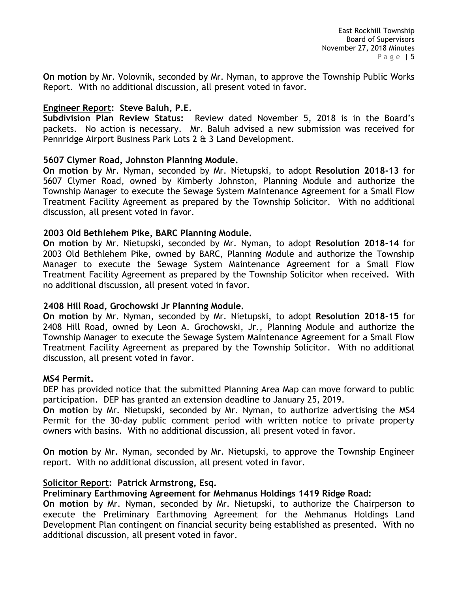**On motion** by Mr. Volovnik, seconded by Mr. Nyman, to approve the Township Public Works Report. With no additional discussion, all present voted in favor.

# **Engineer Report: Steve Baluh, P.E.**

**Subdivision Plan Review Status:** Review dated November 5, 2018 is in the Board's packets. No action is necessary. Mr. Baluh advised a new submission was received for Pennridge Airport Business Park Lots 2 & 3 Land Development.

# **5607 Clymer Road, Johnston Planning Module.**

**On motion** by Mr. Nyman, seconded by Mr. Nietupski, to adopt **Resolution 2018-13** for 5607 Clymer Road, owned by Kimberly Johnston, Planning Module and authorize the Township Manager to execute the Sewage System Maintenance Agreement for a Small Flow Treatment Facility Agreement as prepared by the Township Solicitor. With no additional discussion, all present voted in favor.

### **2003 Old Bethlehem Pike, BARC Planning Module.**

**On motion** by Mr. Nietupski, seconded by Mr. Nyman, to adopt **Resolution 2018-14** for 2003 Old Bethlehem Pike, owned by BARC, Planning Module and authorize the Township Manager to execute the Sewage System Maintenance Agreement for a Small Flow Treatment Facility Agreement as prepared by the Township Solicitor when received. With no additional discussion, all present voted in favor.

# **2408 Hill Road, Grochowski Jr Planning Module.**

**On motion** by Mr. Nyman, seconded by Mr. Nietupski, to adopt **Resolution 2018-15** for 2408 Hill Road, owned by Leon A. Grochowski, Jr., Planning Module and authorize the Township Manager to execute the Sewage System Maintenance Agreement for a Small Flow Treatment Facility Agreement as prepared by the Township Solicitor. With no additional discussion, all present voted in favor.

#### **MS4 Permit.**

DEP has provided notice that the submitted Planning Area Map can move forward to public participation. DEP has granted an extension deadline to January 25, 2019.

**On motion** by Mr. Nietupski, seconded by Mr. Nyman, to authorize advertising the MS4 Permit for the 30-day public comment period with written notice to private property owners with basins. With no additional discussion, all present voted in favor.

**On motion** by Mr. Nyman, seconded by Mr. Nietupski, to approve the Township Engineer report. With no additional discussion, all present voted in favor.

# **Solicitor Report: Patrick Armstrong, Esq.**

#### **Preliminary Earthmoving Agreement for Mehmanus Holdings 1419 Ridge Road:**

**On motion** by Mr. Nyman, seconded by Mr. Nietupski, to authorize the Chairperson to execute the Preliminary Earthmoving Agreement for the Mehmanus Holdings Land Development Plan contingent on financial security being established as presented. With no additional discussion, all present voted in favor.